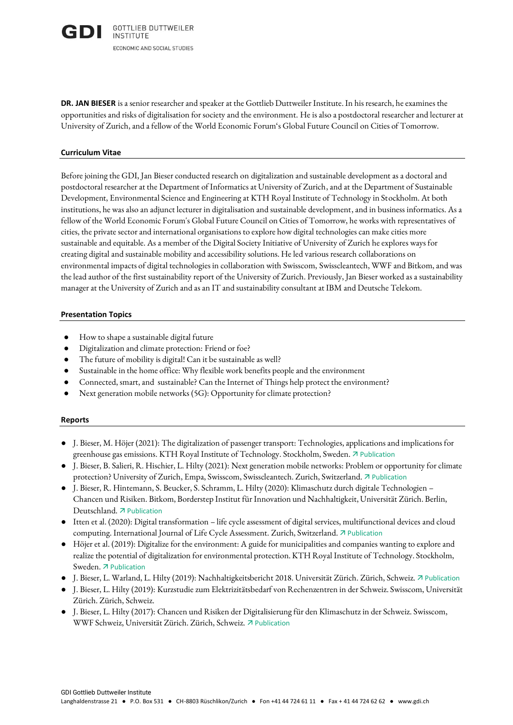**DR. JAN BIESER** is a senior researcher and speaker at the Gottlieb Duttweiler Institute. In his research, he examines the opportunities and risks of digitalisation for society and the environment. He is also a postdoctoral researcher and lecturer at University of Zurich, and a fellow of the World Economic Forum's Global Future Council on Cities of Tomorrow.

## **Curriculum Vitae**

Before joining the GDI, Jan Bieser conducted research on digitalization and sustainable development as a doctoral and postdoctoral researcher at the Department of Informatics at University of Zurich, and at the Department of Sustainable Development, Environmental Science and Engineering at KTH Royal Institute of Technology in Stockholm. At both institutions, he was also an adjunct lecturer in digitalisation and sustainable development, and in business informatics. As a fellow of the World Economic Forum's Global Future Council on Cities of Tomorrow, he works with representatives of cities, the private sector and international organisations to explore how digital technologies can make cities more sustainable and equitable. As a member of the Digital Society Initiative of University of Zurich he explores ways for creating digital and sustainable mobility and accessibility solutions. He led various research collaborations on environmental impacts of digital technologies in collaboration with Swisscom, Swisscleantech, WWF and Bitkom, and was the lead author of the first sustainability report of the University of Zurich. Previously, Jan Bieser worked as a sustainability manager at the University of Zurich and as an IT and sustainability consultant at IBM and Deutsche Telekom.

## **Presentation Topics**

- How to shape a sustainable digital future
- Digitalization and climate protection: Friend or foe?
- The future of mobility is digital! Can it be sustainable as well?
- Sustainable in the home office: Why flexible work benefits people and the environment
- Connected, smart, and sustainable? Can the Internet of Things help protect the environment?
- Next generation mobile networks (5G): Opportunity for climate protection?

## **Reports**

- J. Bieser, M. Höjer (2021): The digitalization of passenger transport: Technologies, applications and implications for greenhouse gas emissions. KTH Royal Institute of Technology. Stockholm, Sweden. [Publication](http://kth.diva-portal.org/smash/record.jsf?pid=diva2%3A1614814)
- J. Bieser, B. Salieri, R. Hischier, L. Hilty (2021): Next generation mobile networks: Problem or opportunity for climate protection? University of Zurich, Empa, Swisscom, Swisscleantech. Zurich, Switzerland. 7 [Publication](https://www.zora.uzh.ch/id/eprint/191299/)
- J. Bieser, R. Hintemann, S. Beucker, S. Schramm, L. Hilty (2020): Klimaschutz durch digitale Technologien Chancen und Risiken. Bitkom, Borderstep Institut für Innovation und Nachhaltigkeit, Universität Zürich. Berlin, Deutschland. 7 [Publication](https://www.bitkom.org/Bitkom/Publikationen/Bitkom-Studie-Klimaschutz-durch-digitale-Technologien)
- Itten et al. (2020): Digital transformation life cycle assessment of digital services, multifunctional devices and cloud computing. International Journal of Life Cycle Assessment. Zurich, Switzerland. [Publication](https://link.springer.com/article/10.1007/s11367-020-01801-0)
- Höjer et al. (2019): Digitalize for the environment: A guide for municipalities and companies wanting to explore and realize the potential of digitalization for environmental protection. KTH Royal Institute of Technology. Stockholm, Sweden. 7 [Publication](https://www.cesc.kth.se/digit-for-environ/valkommen-till-guiden-digitalisera-for-miljon-1.773070)
- J. Bieser, L. Warland, L. Hilty (2019): Nachhaltigkeitsbericht 2018. Universität Zürich. Zürich, Schweiz. [Publication](https://www.sustainability.uzh.ch/de/policy-reporting/nachhaltigkeitsbericht.html)
- J. Bieser, L. Hilty (2019): Kurzstudie zum Elektrizitätsbedarf von Rechenzentren in der Schweiz. Swisscom, Universität Zürich. Zürich, Schweiz.
- J. Bieser, L. Hilty (2017): Chancen und Risiken der Digitalisierung für den Klimaschutz in der Schweiz. Swisscom, WWF Schweiz, Universität Zürich. Zürich, Schweiz. 77 [Publication](https://www.zora.uzh.ch/id/eprint/141128/)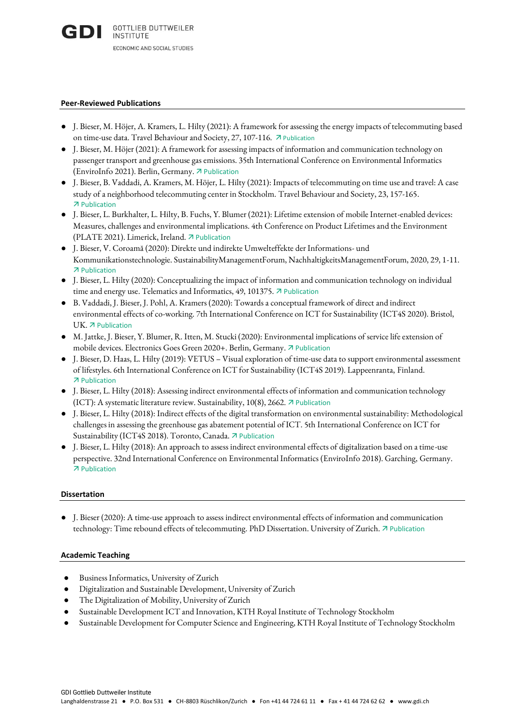#### **Peer-Reviewed Publications**

- J. Bieser, M. Höjer, A. Kramers, L. Hilty (2021): A framework for assessing the energy impacts of telecommuting based on time-use data. Travel Behaviour and Society, 27, 107-116. 7 [Publication](https://www.sciencedirect.com/science/article/pii/S2214367X21001198)
- J. Bieser, M. Höjer (2021): A framework for assessing impacts of information and communication technology on passenger transport and greenhouse gas emissions. 35th International Conference on Environmental Informatics (EnviroInfo 2021). Berlin, Germany. [Publication](https://link.springer.com/chapter/10.1007/978-3-030-88063-7_15)
- J. Bieser, B. Vaddadi, A. Kramers, M. Höjer, L. Hilty (2021): Impacts of telecommuting on time use and travel: A case study of a neighborhood telecommuting center in Stockholm. Travel Behaviour and Society, 23, 157-165. **7** [Publication](https://www.sciencedirect.com/science/article/pii/S2214367X20302441#:~:text=A%20recent%20study%20on%20TC,day%20and%20part%2Dday%20telecommuters.)
- J. Bieser, L. Burkhalter, L. Hilty, B. Fuchs, Y. Blumer (2021): Lifetime extension of mobile Internet-enabled devices: Measures, challenges and environmental implications. 4th Conference on Product Lifetimes and the Environment (PLATE 2021). Limerick, Ireland. [Publication](https://www.zora.uzh.ch/id/eprint/204774/)
- J. Bieser, V. Coroamă (2020): Direkte und indirekte Umwelteffekte der Informations- und Kommunikationstechnologie. SustainabilityManagementForum, NachhaltigkeitsManagementForum, 2020, 29, 1-11. **7** [Publication](https://link.springer.com/article/10.1007/s00550-020-00502-4)
- J. Bieser, L. Hilty (2020): Conceptualizing the impact of information and communication technology on individual time and energy use. Telematics and Informatics, 49, 101375. 7 [Publication](https://www.sciencedirect.com/science/article/abs/pii/S0736585320300344)
- B. Vaddadi, J. Bieser, J. Pohl, A. Kramers (2020): Towards a conceptual framework of direct and indirect environmental effects of co-working. 7th International Conference on ICT for Sustainability (ICT4S 2020). Bristol, UK. 7 [Publication](https://dl.acm.org/doi/10.1145/3401335.3401619)
- M. Jattke, J. Bieser, Y. Blumer, R. Itten, M. Stucki (2020): Environmental implications of service life extension of mobile devices. Electronics Goes Green 2020+. Berlin, Germany. 7 [Publication](https://digitalcollection.zhaw.ch/handle/11475/20808)
- J. Bieser, D. Haas, L. Hilty (2019): VETUS Visual exploration of time-use data to support environmental assessment of lifestyles. 6th International Conference on ICT for Sustainability (ICT4S 2019). Lappeenranta, Finland. **7** [Publication](https://www.zora.uzh.ch/id/eprint/171387/)
- J. Bieser, L. Hilty (2018): Assessing indirect environmental effects of information and communication technology (ICT): A systematic literature review. Sustainability,  $10(8)$ ,  $2662$ .  $\overline{7}$  [Publication](https://www.mdpi.com/2071-1050/10/8/2662)
- J. Bieser, L. Hilty (2018): Indirect effects of the digital transformation on environmental sustainability: Methodological challenges in assessing the greenhouse gas abatement potential of ICT. 5th International Conference on ICT for Sustainability (ICT4S 2018). Toronto, Canada. 7 [Publication](https://easychair.org/publications/paper/KHNg)
- J. Bieser, L. Hilty (2018): An approach to assess indirect environmental effects of digitalization based on a time-use perspective. 32nd International Conference on Environmental Informatics (EnviroInfo 2018). Garching, Germany. [Publication](https://link.springer.com/chapter/10.1007/978-3-319-99654-7_5)

## **Dissertation**

● J. Bieser (2020): A time-use approach to assess indirect environmental effects of information and communication technology: Time rebound effects of telecommuting. PhD Dissertation. University of Zurich. **7** [Publication](https://www.zora.uzh.ch/id/eprint/191486/)

# **Academic Teaching**

- Business Informatics, University of Zurich
- Digitalization and Sustainable Development, University of Zurich
- The Digitalization of Mobility, University of Zurich
- Sustainable Development ICT and Innovation, KTH Royal Institute of Technology Stockholm
- Sustainable Development for Computer Science and Engineering, KTH Royal Institute of Technology Stockholm